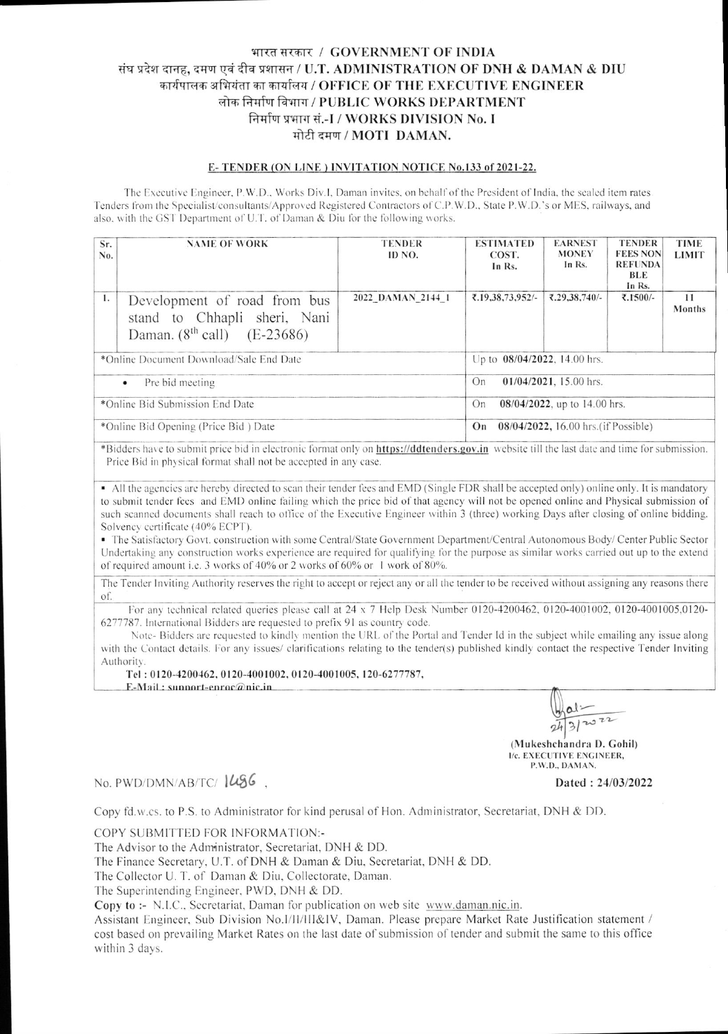## भारत सरकार / GOVERNMENT OF INDIA संघ प्रदेश दानह, दमण एवं दीव प्रशासन / U.T. ADMINISTRATION OF DNH & DAMAN & DIU कार्यपालक अभियंता का कार्यालय / OFFICE OF THE EXECUTIVE ENGINEER लोक निर्माण विभाग / PUBLIC WORKS DEPARTMENT निर्माण प्रभाग सं.-I / WORKS DIVISION No. I मोटी दमण / MOTI DAMAN.

## E-TENDER (ON LINE) INVITATION NOTICE No.133 of 2021-22.

The Executive Engineer, P.W.D., Works Div.I, Daman invites, on behalf of the President of India, the sealed item rates Tenders from the Specialist/consultants/Approved Registered Contractors of C.P.W.D., State P.W.D.'s or MES, railways, and also, with the GST Department of U.T. of Daman & Diu for the following works.

| Sr.<br>No.                              | <b>NAME OF WORK</b>                                                                                | <b>TENDER</b><br>ID NO. | <b>ESTIMATED</b><br>COST.<br>In Rs.        |                              | <b>EARNEST</b><br><b>MONEY</b><br>In Rs. | <b>TENDER</b><br><b>FEES NON</b><br><b>REFUNDA</b><br>BLE<br>In Rs. | <b>TIME</b><br><b>LIMIT</b> |  |  |
|-----------------------------------------|----------------------------------------------------------------------------------------------------|-------------------------|--------------------------------------------|------------------------------|------------------------------------------|---------------------------------------------------------------------|-----------------------------|--|--|
| 1.                                      | Development of road from bus<br>stand to Chhapli sheri, Nani<br>Daman. $(8^{th}$ call) $(E-23686)$ | 2022 DAMAN 2144 1       |                                            | ₹.19,38,73,952/-             | ₹.29,38,740/-                            | ₹.1500/-                                                            | 11<br>Months                |  |  |
| *Online Document Download/Sale End Date |                                                                                                    |                         |                                            | Up to 08/04/2022, 14.00 hrs. |                                          |                                                                     |                             |  |  |
| Pre bid meeting<br>$\bullet$            |                                                                                                    |                         | $01/04/2021$ , 15.00 hrs.<br>On            |                              |                                          |                                                                     |                             |  |  |
| *Online Bid Submission End Date         |                                                                                                    |                         | $08/04/2022$ , up to 14.00 hrs.<br>On      |                              |                                          |                                                                     |                             |  |  |
| *Online Bid Opening (Price Bid) Date    |                                                                                                    |                         | 08/04/2022, 16.00 hrs. (if Possible)<br>On |                              |                                          |                                                                     |                             |  |  |

\*Bidders have to submit price bid in electronic format only on https://ddtenders.gov.in website till the last date and time for submission. Price Bid in physical format shall not be accepted in any case.

• All the agencies are hereby directed to scan their tender fees and EMD (Single FDR shall be accepted only) online only. It is mandatory to submit tender fees and EMD online failing which the price bid of that agency will not be opened online and Physical submission of such scanned documents shall reach to office of the Executive Engineer within 3 (three) working Days after closing of online bidding. Solvency certificate (40% ECPT).

• The Satisfactory Govt. construction with some Central/State Government Department/Central Autonomous Body/Center Public Sector Undertaking any construction works experience are required for qualifying for the purpose as similar works carried out up to the extend of required amount i.e. 3 works of 40% or 2 works of 60% or 1 work of 80%.

The Tender Inviting Authority reserves the right to accept or reject any or all the tender to be received without assigning any reasons there <sub>of</sub>

For any technical related queries please call at 24 x 7 Help Desk Number 0120-4200462, 0120-4001002, 0120-4001005,0120-6277787. International Bidders are requested to prefix 91 as country code.

Note-Bidders are requested to kindly mention the URL of the Portal and Tender Id in the subject while emailing any issue along with the Contact details. For any issues/ clarifications relating to the tender(s) published kindly contact the respective Tender Inviting Authority.

Tel: 0120-4200462, 0120-4001002, 0120-4001005, 120-6277787,

 $E-Mail: sunport-enroc@nic.in$ 

al:  $3120$ 

(Mukeshchandra D. Gohil) I/c. EXECUTIVE ENGINEER, P.W.D., DAMAN.

Dated: 24/03/2022

No. PWD/DMN/AB/TC/1486.

Copy fd.w.cs. to P.S. to Administrator for kind perusal of Hon. Administrator, Secretariat, DNH & DD.

COPY SUBMITTED FOR INFORMATION:-

The Advisor to the Administrator, Secretariat, DNH & DD.

The Finance Secretary, U.T. of DNH & Daman & Diu, Secretariat, DNH & DD.

The Collector U. T. of Daman & Diu, Collectorate, Daman.

The Superintending Engineer, PWD, DNH & DD.

Copy to :- N.I.C., Secretariat, Daman for publication on web site www.daman.nic.in.

Assistant Engineer, Sub Division No.I/II/III&IV, Daman. Please prepare Market Rate Justification statement / cost based on prevailing Market Rates on the last date of submission of tender and submit the same to this office within 3 days.